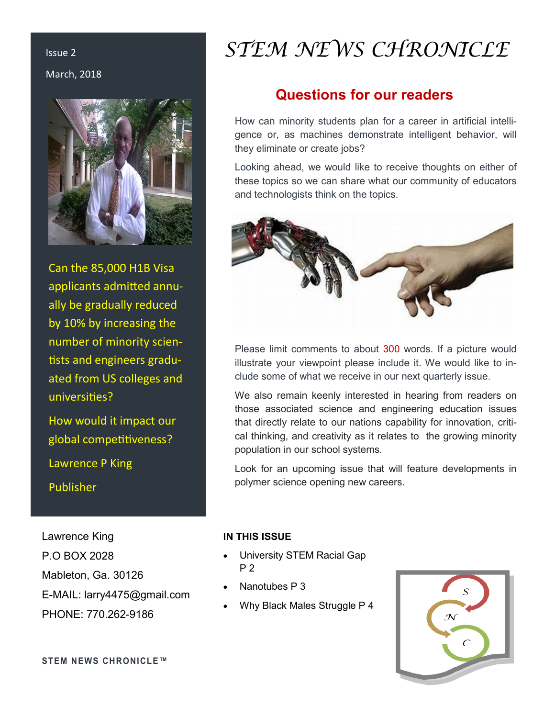March, 2018



Can the 85,000 H1B Visa applicants admitted annually be gradually reduced by 10% by increasing the number of minority scientists and engineers graduated from US colleges and universities?

How would it impact our global competitiveness? Lawrence P King Publisher

Lawrence King P.O BOX 2028 Mableton, Ga. 30126 E-MAIL: larry4475@gmail.com PHONE: 770.262-9186

# Issue 2 *STEM NEWS CHRONICLE*

## **Questions for our readers**

How can minority students plan for a career in artificial intelligence or, as machines demonstrate intelligent behavior, will they eliminate or create jobs?

Looking ahead, we would like to receive thoughts on either of these topics so we can share what our community of educators and technologists think on the topics.



Please limit comments to about 300 words. If a picture would illustrate your viewpoint please include it. We would like to include some of what we receive in our next quarterly issue.

We also remain keenly interested in hearing from readers on those associated science and engineering education issues that directly relate to our nations capability for innovation, critical thinking, and creativity as it relates to the growing minority population in our school systems.

Look for an upcoming issue that will feature developments in polymer science opening new careers.

#### **IN THIS ISSUE**

- University STEM Racial Gap P 2
- Nanotubes P 3
- Why Black Males Struggle P 4



**STEM NEWS CHRONICLE™**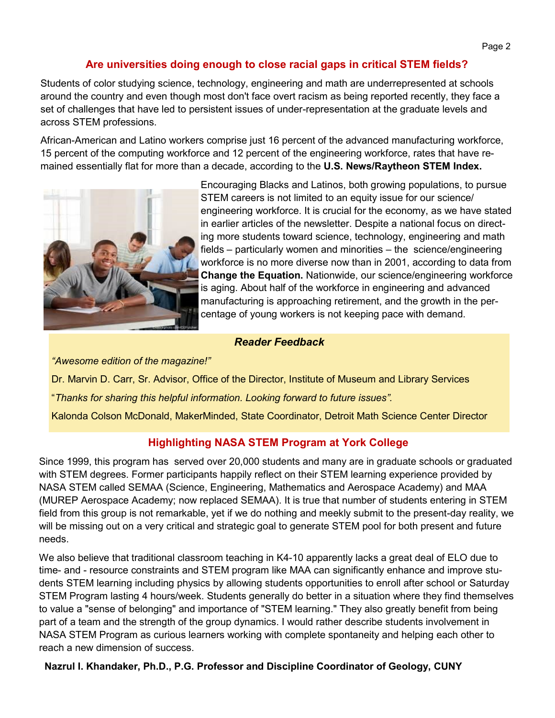#### **Are universities doing enough to close racial gaps in critical STEM fields?**

Students of color studying science, technology, engineering and math are underrepresented at schools around the country and even though most don't face overt racism as being reported recently, they face a set of challenges that have led to persistent issues of under-representation at the graduate levels and across STEM professions.

African-American and Latino workers comprise just 16 percent of the advanced manufacturing workforce, 15 percent of the computing workforce and 12 percent of the engineering workforce, rates that have remained essentially flat for more than a decade, according to the **U.S. News/Raytheon STEM Index.** 



Encouraging Blacks and Latinos, both growing populations, to pursue STEM careers is not limited to an equity issue for our science/ engineering workforce. It is crucial for the economy, as we have stated in earlier articles of the newsletter. Despite a national focus on directing more students toward science, technology, engineering and math fields – particularly women and minorities – the science/engineering workforce is no more diverse now than in 2001, according to data from **Change the Equation.** Nationwide, our science/engineering workforce is aging. About half of the workforce in engineering and advanced manufacturing is approaching retirement, and the growth in the percentage of young workers is not keeping pace with demand.

#### *Reader Feedback*

*"Awesome edition of the magazine!"*

Dr. Marvin D. Carr, Sr. Advisor, Office of the Director, Institute of Museum and Library Services

"*Thanks for sharing this helpful information. Looking forward to future issues".*

Kalonda Colson McDonald, MakerMinded, State Coordinator, Detroit Math Science Center Director

#### **Highlighting NASA STEM Program at York College**

Since 1999, this program has served over 20,000 students and many are in graduate schools or graduated with STEM degrees. Former participants happily reflect on their STEM learning experience provided by NASA STEM called SEMAA (Science, Engineering, Mathematics and Aerospace Academy) and MAA (MUREP Aerospace Academy; now replaced SEMAA). It is true that number of students entering in STEM field from this group is not remarkable, yet if we do nothing and meekly submit to the present-day reality, we will be missing out on a very critical and strategic goal to generate STEM pool for both present and future needs.

We also believe that traditional classroom teaching in K4-10 apparently lacks a great deal of ELO due to time- and - resource constraints and STEM program like MAA can significantly enhance and improve students STEM learning including physics by allowing students opportunities to enroll after school or Saturday STEM Program lasting 4 hours/week. Students generally do better in a situation where they find themselves to value a "sense of belonging" and importance of "STEM learning." They also greatly benefit from being part of a team and the strength of the group dynamics. I would rather describe students involvement in NASA STEM Program as curious learners working with complete spontaneity and helping each other to reach a new dimension of success.

**Nazrul I. Khandaker, Ph.D., P.G. Professor and Discipline Coordinator of Geology, CUNY**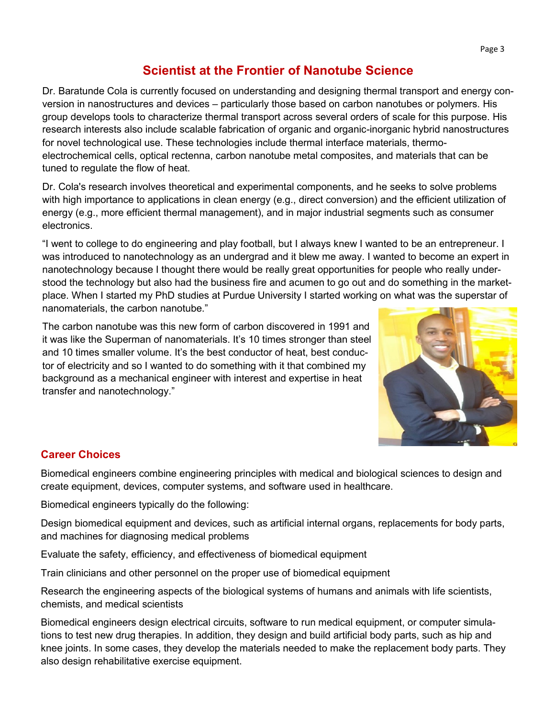## **Scientist at the Frontier of Nanotube Science**

Dr. Baratunde Cola is currently focused on understanding and designing thermal transport and energy conversion in nanostructures and devices – particularly those based on carbon nanotubes or polymers. His group develops tools to characterize thermal transport across several orders of scale for this purpose. His research interests also include scalable fabrication of organic and organic-inorganic hybrid nanostructures for novel technological use. These technologies include thermal interface materials, thermoelectrochemical cells, optical rectenna, carbon nanotube metal composites, and materials that can be tuned to regulate the flow of heat.

Dr. Cola's research involves theoretical and experimental components, and he seeks to solve problems with high importance to applications in clean energy (e.g., direct conversion) and the efficient utilization of energy (e.g., more efficient thermal management), and in major industrial segments such as consumer electronics.

"I went to college to do engineering and play football, but I always knew I wanted to be an entrepreneur. I was introduced to nanotechnology as an undergrad and it blew me away. I wanted to become an expert in nanotechnology because I thought there would be really great opportunities for people who really understood the technology but also had the business fire and acumen to go out and do something in the marketplace. When I started my PhD studies at Purdue University I started working on what was the superstar of nanomaterials, the carbon nanotube."

The carbon nanotube was this new form of carbon discovered in 1991 and it was like the Superman of nanomaterials. It's 10 times stronger than steel and 10 times smaller volume. It's the best conductor of heat, best conductor of electricity and so I wanted to do something with it that combined my background as a mechanical engineer with interest and expertise in heat transfer and nanotechnology."



### **Career Choices**

Biomedical engineers combine engineering principles with medical and biological sciences to design and create equipment, devices, computer systems, and software used in healthcare.

Biomedical engineers typically do the following:

Design biomedical equipment and devices, such as artificial internal organs, replacements for body parts, and machines for diagnosing medical problems

Evaluate the safety, efficiency, and effectiveness of biomedical equipment

Train clinicians and other personnel on the proper use of biomedical equipment

Research the engineering aspects of the biological systems of humans and animals with life scientists, chemists, and medical scientists

Biomedical engineers design electrical circuits, software to run medical equipment, or computer simulations to test new drug therapies. In addition, they design and build artificial body parts, such as hip and knee joints. In some cases, they develop the materials needed to make the replacement body parts. They also design rehabilitative exercise equipment.